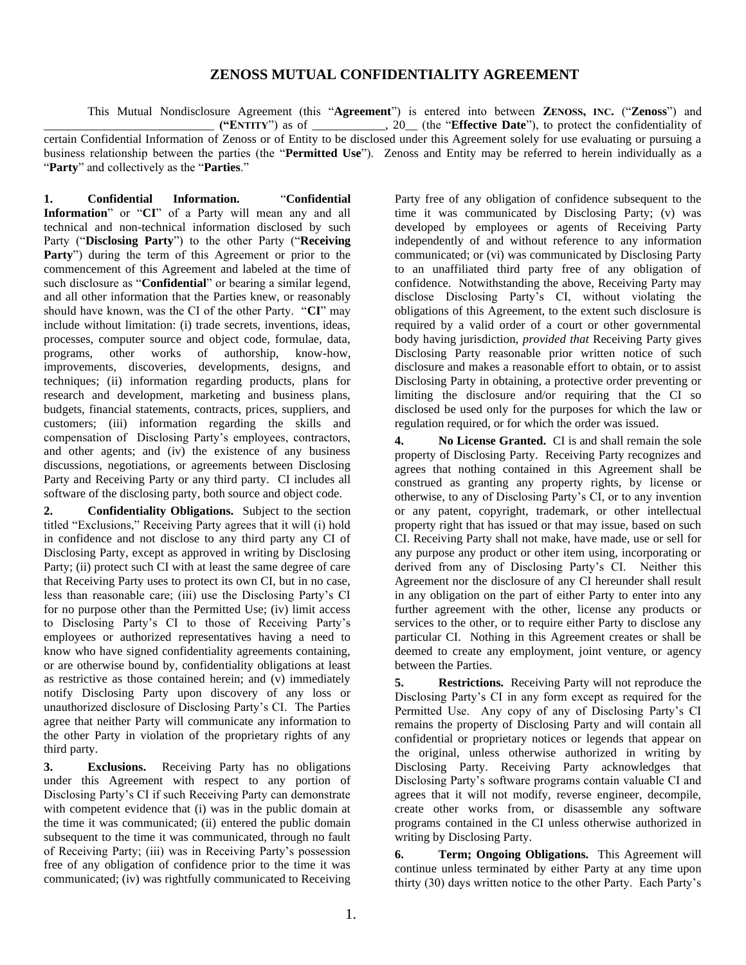## **ZENOSS MUTUAL CONFIDENTIALITY AGREEMENT**

This Mutual Nondisclosure Agreement (this "**Agreement**") is entered into between **ZENOSS, INC.** ("**Zenoss**") and \_\_\_\_\_\_\_\_\_\_\_\_\_\_\_\_\_\_\_\_\_\_\_\_\_\_\_\_ **("ENTITY**") as of \_\_\_\_\_\_\_\_\_\_\_\_, 20\_\_ (the "**Effective Date**"), to protect the confidentiality of certain Confidential Information of Zenoss or of Entity to be disclosed under this Agreement solely for use evaluating or pursuing a business relationship between the parties (the "**Permitted Use**"). Zenoss and Entity may be referred to herein individually as a "**Party**" and collectively as the "**Parties**."

**1. Confidential Information.** "**Confidential Information**" or "**CI**" of a Party will mean any and all technical and non-technical information disclosed by such Party ("**Disclosing Party**") to the other Party ("**Receiving Party**") during the term of this Agreement or prior to the commencement of this Agreement and labeled at the time of such disclosure as "**Confidential**" or bearing a similar legend, and all other information that the Parties knew, or reasonably should have known, was the CI of the other Party. "**CI**" may include without limitation: (i) trade secrets, inventions, ideas, processes, computer source and object code, formulae, data, programs, other works of authorship, know-how, improvements, discoveries, developments, designs, and techniques; (ii) information regarding products, plans for research and development, marketing and business plans, budgets, financial statements, contracts, prices, suppliers, and customers; (iii) information regarding the skills and compensation of Disclosing Party's employees, contractors, and other agents; and (iv) the existence of any business discussions, negotiations, or agreements between Disclosing Party and Receiving Party or any third party. CI includes all software of the disclosing party, both source and object code.

**2. Confidentiality Obligations.** Subject to the section titled "Exclusions," Receiving Party agrees that it will (i) hold in confidence and not disclose to any third party any CI of Disclosing Party, except as approved in writing by Disclosing Party; (ii) protect such CI with at least the same degree of care that Receiving Party uses to protect its own CI, but in no case, less than reasonable care; (iii) use the Disclosing Party's CI for no purpose other than the Permitted Use; (iv) limit access to Disclosing Party's CI to those of Receiving Party's employees or authorized representatives having a need to know who have signed confidentiality agreements containing, or are otherwise bound by, confidentiality obligations at least as restrictive as those contained herein; and (v) immediately notify Disclosing Party upon discovery of any loss or unauthorized disclosure of Disclosing Party's CI. The Parties agree that neither Party will communicate any information to the other Party in violation of the proprietary rights of any third party.

**3. Exclusions.** Receiving Party has no obligations under this Agreement with respect to any portion of Disclosing Party's CI if such Receiving Party can demonstrate with competent evidence that (i) was in the public domain at the time it was communicated; (ii) entered the public domain subsequent to the time it was communicated, through no fault of Receiving Party; (iii) was in Receiving Party's possession free of any obligation of confidence prior to the time it was communicated; (iv) was rightfully communicated to Receiving

Party free of any obligation of confidence subsequent to the time it was communicated by Disclosing Party; (v) was developed by employees or agents of Receiving Party independently of and without reference to any information communicated; or (vi) was communicated by Disclosing Party to an unaffiliated third party free of any obligation of confidence. Notwithstanding the above, Receiving Party may disclose Disclosing Party's CI, without violating the obligations of this Agreement, to the extent such disclosure is required by a valid order of a court or other governmental body having jurisdiction, *provided that* Receiving Party gives Disclosing Party reasonable prior written notice of such disclosure and makes a reasonable effort to obtain, or to assist Disclosing Party in obtaining, a protective order preventing or limiting the disclosure and/or requiring that the CI so disclosed be used only for the purposes for which the law or regulation required, or for which the order was issued.

**4. No License Granted.** CI is and shall remain the sole property of Disclosing Party. Receiving Party recognizes and agrees that nothing contained in this Agreement shall be construed as granting any property rights, by license or otherwise, to any of Disclosing Party's CI, or to any invention or any patent, copyright, trademark, or other intellectual property right that has issued or that may issue, based on such CI. Receiving Party shall not make, have made, use or sell for any purpose any product or other item using, incorporating or derived from any of Disclosing Party's CI. Neither this Agreement nor the disclosure of any CI hereunder shall result in any obligation on the part of either Party to enter into any further agreement with the other, license any products or services to the other, or to require either Party to disclose any particular CI. Nothing in this Agreement creates or shall be deemed to create any employment, joint venture, or agency between the Parties.

**5. Restrictions.** Receiving Party will not reproduce the Disclosing Party's CI in any form except as required for the Permitted Use. Any copy of any of Disclosing Party's CI remains the property of Disclosing Party and will contain all confidential or proprietary notices or legends that appear on the original, unless otherwise authorized in writing by Disclosing Party. Receiving Party acknowledges that Disclosing Party's software programs contain valuable CI and agrees that it will not modify, reverse engineer, decompile, create other works from, or disassemble any software programs contained in the CI unless otherwise authorized in writing by Disclosing Party.

**6. Term; Ongoing Obligations.** This Agreement will continue unless terminated by either Party at any time upon thirty (30) days written notice to the other Party. Each Party's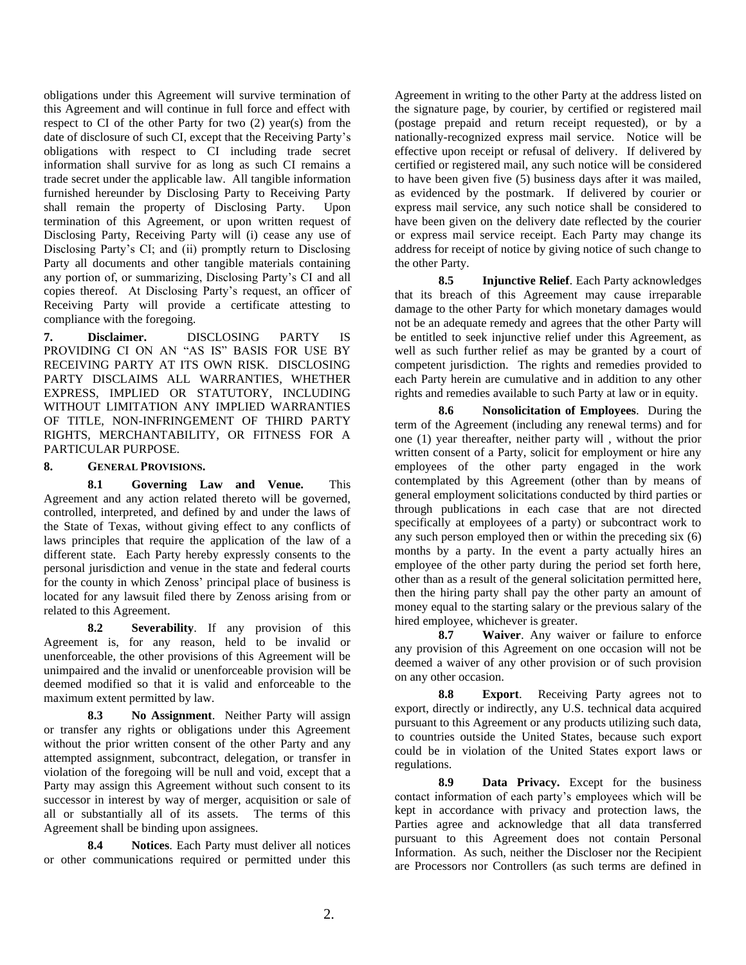obligations under this Agreement will survive termination of this Agreement and will continue in full force and effect with respect to CI of the other Party for two (2) year(s) from the date of disclosure of such CI, except that the Receiving Party's obligations with respect to CI including trade secret information shall survive for as long as such CI remains a trade secret under the applicable law. All tangible information furnished hereunder by Disclosing Party to Receiving Party shall remain the property of Disclosing Party. Upon termination of this Agreement, or upon written request of Disclosing Party, Receiving Party will (i) cease any use of Disclosing Party's CI; and (ii) promptly return to Disclosing Party all documents and other tangible materials containing any portion of, or summarizing, Disclosing Party's CI and all copies thereof. At Disclosing Party's request, an officer of Receiving Party will provide a certificate attesting to compliance with the foregoing.

**7. Disclaimer.** DISCLOSING PARTY IS PROVIDING CI ON AN "AS IS" BASIS FOR USE BY RECEIVING PARTY AT ITS OWN RISK. DISCLOSING PARTY DISCLAIMS ALL WARRANTIES, WHETHER EXPRESS, IMPLIED OR STATUTORY, INCLUDING WITHOUT LIMITATION ANY IMPLIED WARRANTIES OF TITLE, NON-INFRINGEMENT OF THIRD PARTY RIGHTS, MERCHANTABILITY, OR FITNESS FOR A PARTICULAR PURPOSE.

**8. GENERAL PROVISIONS.**

**8.1 Governing Law and Venue.** This Agreement and any action related thereto will be governed, controlled, interpreted, and defined by and under the laws of the State of Texas, without giving effect to any conflicts of laws principles that require the application of the law of a different state. Each Party hereby expressly consents to the personal jurisdiction and venue in the state and federal courts for the county in which Zenoss' principal place of business is located for any lawsuit filed there by Zenoss arising from or related to this Agreement.

**8.2 Severability**. If any provision of this Agreement is, for any reason, held to be invalid or unenforceable, the other provisions of this Agreement will be unimpaired and the invalid or unenforceable provision will be deemed modified so that it is valid and enforceable to the maximum extent permitted by law.

**8.3 No Assignment**. Neither Party will assign or transfer any rights or obligations under this Agreement without the prior written consent of the other Party and any attempted assignment, subcontract, delegation, or transfer in violation of the foregoing will be null and void, except that a Party may assign this Agreement without such consent to its successor in interest by way of merger, acquisition or sale of all or substantially all of its assets. The terms of this Agreement shall be binding upon assignees.

**8.4 Notices**. Each Party must deliver all notices or other communications required or permitted under this

Agreement in writing to the other Party at the address listed on the signature page, by courier, by certified or registered mail (postage prepaid and return receipt requested), or by a nationally-recognized express mail service. Notice will be effective upon receipt or refusal of delivery. If delivered by certified or registered mail, any such notice will be considered to have been given five (5) business days after it was mailed, as evidenced by the postmark. If delivered by courier or express mail service, any such notice shall be considered to have been given on the delivery date reflected by the courier or express mail service receipt. Each Party may change its address for receipt of notice by giving notice of such change to the other Party.

**8.5 Injunctive Relief**. Each Party acknowledges that its breach of this Agreement may cause irreparable damage to the other Party for which monetary damages would not be an adequate remedy and agrees that the other Party will be entitled to seek injunctive relief under this Agreement, as well as such further relief as may be granted by a court of competent jurisdiction. The rights and remedies provided to each Party herein are cumulative and in addition to any other rights and remedies available to such Party at law or in equity.

**8.6 Nonsolicitation of Employees**. During the term of the Agreement (including any renewal terms) and for one (1) year thereafter, neither party will , without the prior written consent of a Party, solicit for employment or hire any employees of the other party engaged in the work contemplated by this Agreement (other than by means of general employment solicitations conducted by third parties or through publications in each case that are not directed specifically at employees of a party) or subcontract work to any such person employed then or within the preceding six (6) months by a party. In the event a party actually hires an employee of the other party during the period set forth here, other than as a result of the general solicitation permitted here, then the hiring party shall pay the other party an amount of money equal to the starting salary or the previous salary of the hired employee, whichever is greater.

**8.7 Waiver**. Any waiver or failure to enforce any provision of this Agreement on one occasion will not be deemed a waiver of any other provision or of such provision on any other occasion.

**8.8 Export**. Receiving Party agrees not to export, directly or indirectly, any U.S. technical data acquired pursuant to this Agreement or any products utilizing such data, to countries outside the United States, because such export could be in violation of the United States export laws or regulations.

**8.9 Data Privacy.** Except for the business contact information of each party's employees which will be kept in accordance with privacy and protection laws, the Parties agree and acknowledge that all data transferred pursuant to this Agreement does not contain Personal Information. As such, neither the Discloser nor the Recipient are Processors nor Controllers (as such terms are defined in